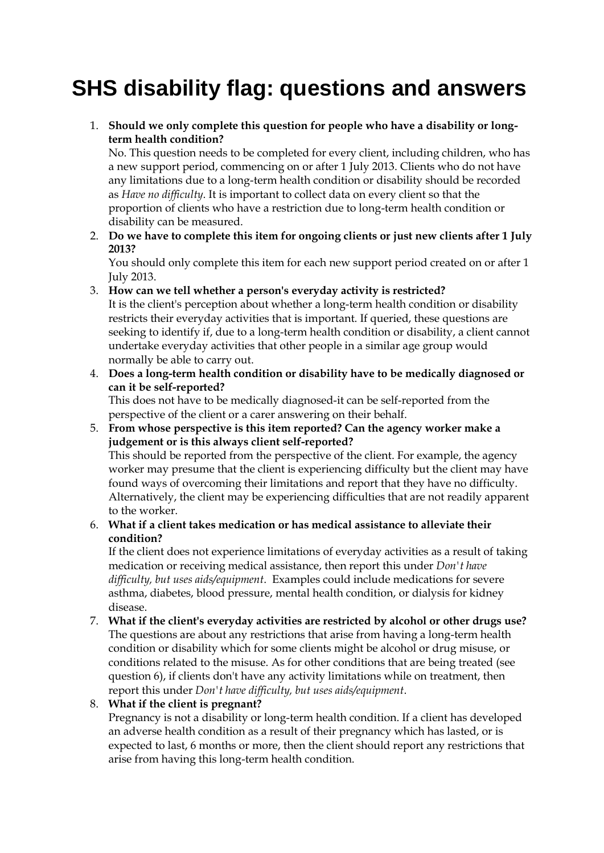# **SHS disability flag: questions and answers**

1. **Should we only complete this question for people who have a disability or longterm health condition?**

No. This question needs to be completed for every client, including children, who has a new support period, commencing on or after 1 July 2013. Clients who do not have any limitations due to a long-term health condition or disability should be recorded as *Have no difficulty*. It is important to collect data on every client so that the proportion of clients who have a restriction due to long-term health condition or disability can be measured.

2. **Do we have to complete this item for ongoing clients or just new clients after 1 July 2013?**

You should only complete this item for each new support period created on or after 1 July 2013.

3. **How can we tell whether a person's everyday activity is restricted?**

It is the client's perception about whether a long-term health condition or disability restricts their everyday activities that is important. If queried, these questions are seeking to identify if, due to a long-term health condition or disability, a client cannot undertake everyday activities that other people in a similar age group would normally be able to carry out.

4. **Does a long-term health condition or disability have to be medically diagnosed or can it be self-reported?**

This does not have to be medically diagnosed-it can be self-reported from the perspective of the client or a carer answering on their behalf.

5. **From whose perspective is this item reported? Can the agency worker make a judgement or is this always client self-reported?** This should be reported from the perspective of the client. For example, the agency worker may presume that the client is experiencing difficulty but the client may have found ways of overcoming their limitations and report that they have no difficulty. Alternatively, the client may be experiencing difficulties that are not readily apparent to the worker.

## 6. **What if a client takes medication or has medical assistance to alleviate their condition?**

If the client does not experience limitations of everyday activities as a result of taking medication or receiving medical assistance, then report this under *Don't have difficulty, but uses aids/equipment*. Examples could include medications for severe asthma, diabetes, blood pressure, mental health condition, or dialysis for kidney disease.

7. **What if the client's everyday activities are restricted by alcohol or other drugs use?** The questions are about any restrictions that arise from having a long-term health condition or disability which for some clients might be alcohol or drug misuse, or conditions related to the misuse. As for other conditions that are being treated (see question 6), if clients don't have any activity limitations while on treatment, then report this under *Don't have difficulty, but uses aids/equipment*.

# 8. **What if the client is pregnant?**

Pregnancy is not a disability or long-term health condition. If a client has developed an adverse health condition as a result of their pregnancy which has lasted, or is expected to last, 6 months or more, then the client should report any restrictions that arise from having this long-term health condition.